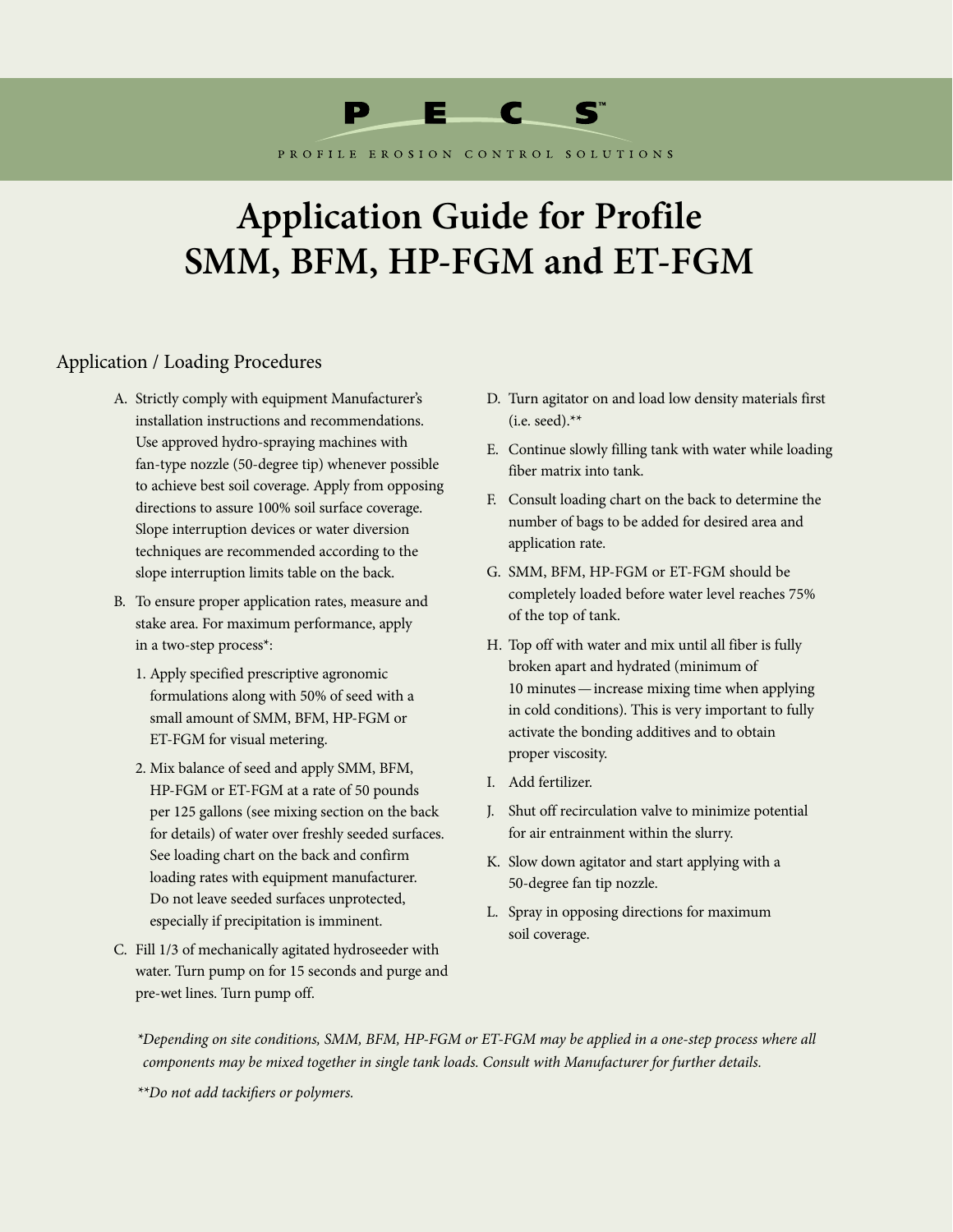

PROFILE EROSION CONTROL SOLUTIONS

## **Application Guide for Profile SMM, BFM, HP-FGM and ET-FGM**

## Application / Loading Procedures

- A. Strictly comply with equipment Manufacturer's installation instructions and recommendations. Use approved hydro-spraying machines with fan-type nozzle (50-degree tip) whenever possible to achieve best soil coverage. Apply from opposing directions to assure 100% soil surface coverage. Slope interruption devices or water diversion techniques are recommended according to the slope interruption limits table on the back.
- B. To ensure proper application rates, measure and stake area. For maximum performance, apply in a two-step process\*:
	- 1. Apply specified prescriptive agronomic formulations along with 50% of seed with a small amount of SMM, BFM, HP-FGM or ET-FGM for visual metering.
	- 2. Mix balance of seed and apply SMM, BFM, HP-FGM or ET-FGM at a rate of 50 pounds per 125 gallons (see mixing section on the back for details) of water over freshly seeded surfaces. See loading chart on the back and confirm loading rates with equipment manufacturer. Do not leave seeded surfaces unprotected, especially if precipitation is imminent.
- C. Fill 1/3 of mechanically agitated hydroseeder with water. Turn pump on for 15 seconds and purge and pre-wet lines. Turn pump off.
- D. Turn agitator on and load low density materials first (i.e. seed). $**$
- E. Continue slowly filling tank with water while loading fiber matrix into tank.
- F. Consult loading chart on the back to determine the number of bags to be added for desired area and application rate.
- G. SMM, BFM, HP-FGM or ET-FGM should be completely loaded before water level reaches 75% of the top of tank.
- H. Top off with water and mix until all fiber is fully broken apart and hydrated (minimum of 10 minutes—increase mixing time when applying in cold conditions). This is very important to fully activate the bonding additives and to obtain proper viscosity.
- I. Add fertilizer.
- J. Shut off recirculation valve to minimize potential for air entrainment within the slurry.
- K. Slow down agitator and start applying with a 50-degree fan tip nozzle.
- L. Spray in opposing directions for maximum soil coverage.

*\*Depending on site conditions, SMM, BFM, HP-FGM or ET-FGM may be applied in a one-step process where all components may be mixed together in single tank loads. Consult with Manufacturer for further details.*

*\*\*Do not add tackifiers or polymers.*